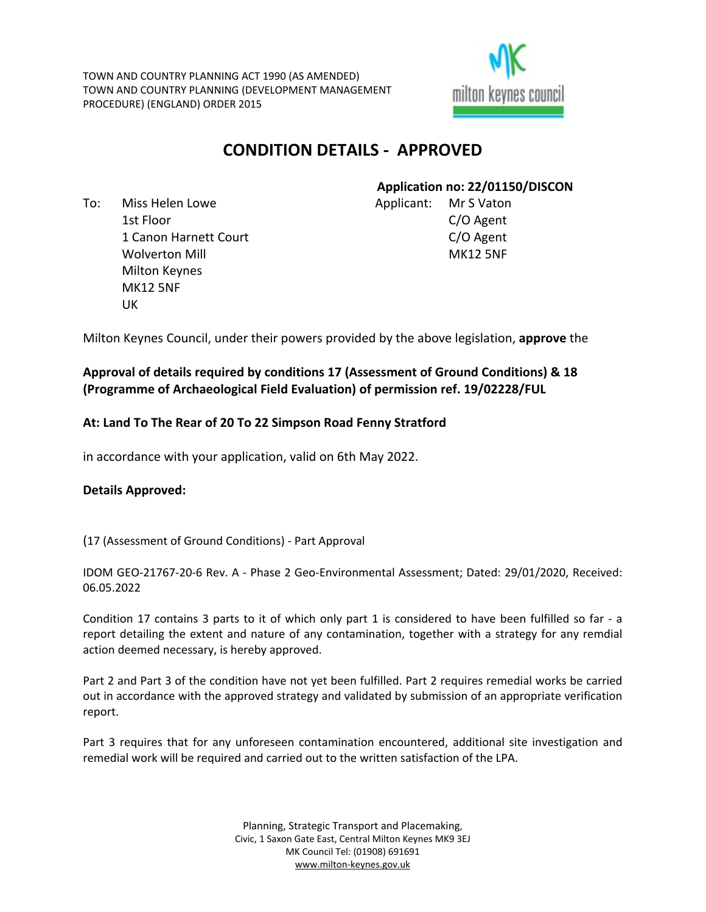TOWN AND COUNTRY PLANNING ACT 1990 (AS AMENDED) TOWN AND COUNTRY PLANNING (DEVELOPMENT MANAGEMENT PROCEDURE) (ENGLAND) ORDER 2015



# **CONDITION DETAILS - APPROVED**

To: Miss Helen Lowe 1st Floor 1 Canon Harnett Court Wolverton Mill Milton Keynes MK12 5NF UK

# **Application no: 22/01150/DISCON**

Applicant: Mr S Vaton C/O Agent C/O Agent MK12 5NF

Milton Keynes Council, under their powers provided by the above legislation, **approve** the

# **Approval of details required by conditions 17 (Assessment of Ground Conditions) & 18 (Programme of Archaeological Field Evaluation) of permission ref. 19/02228/FUL**

# **At: Land To The Rear of 20 To 22 Simpson Road Fenny Stratford**

in accordance with your application, valid on 6th May 2022.

# **Details Approved:**

(17 (Assessment of Ground Conditions) - Part Approval

IDOM GEO-21767-20-6 Rev. A - Phase 2 Geo-Environmental Assessment; Dated: 29/01/2020, Received: 06.05.2022

Condition 17 contains 3 parts to it of which only part 1 is considered to have been fulfilled so far - a report detailing the extent and nature of any contamination, together with a strategy for any remdial action deemed necessary, is hereby approved.

Part 2 and Part 3 of the condition have not yet been fulfilled. Part 2 requires remedial works be carried out in accordance with the approved strategy and validated by submission of an appropriate verification report.

Part 3 requires that for any unforeseen contamination encountered, additional site investigation and remedial work will be required and carried out to the written satisfaction of the LPA.

> Planning, Strategic Transport and Placemaking, Civic, 1 Saxon Gate East, Central Milton Keynes MK9 3EJ MK Council Tel: (01908) 691691 [www.milton-keynes.gov.uk](http://www.milton-keynes.gov.uk/)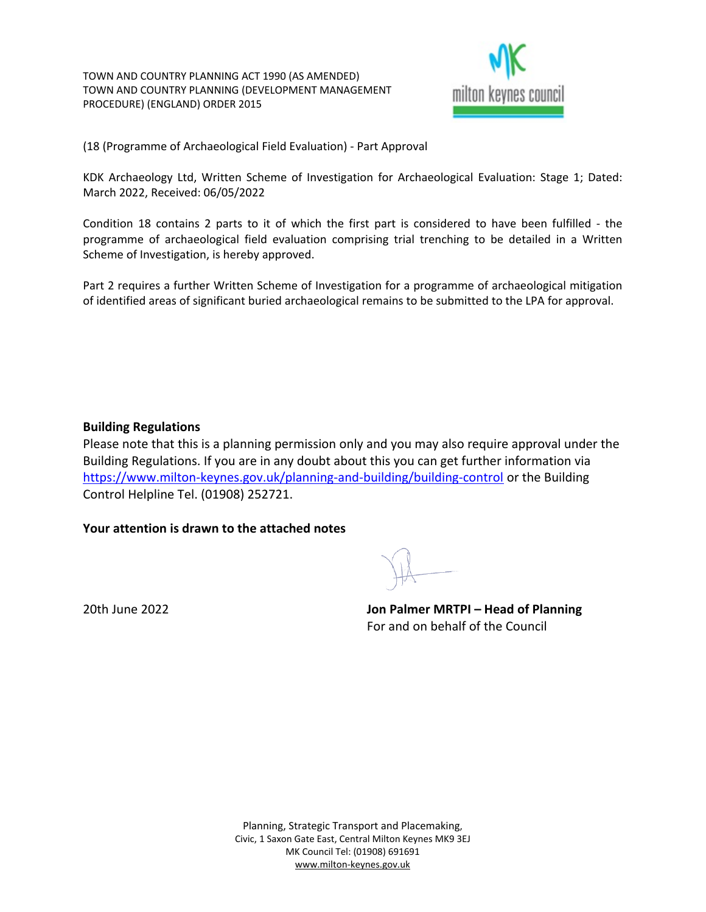TOWN AND COUNTRY PLANNING ACT 1990 (AS AMENDED) TOWN AND COUNTRY PLANNING (DEVELOPMENT MANAGEMENT PROCEDURE) (ENGLAND) ORDER 2015



(18 (Programme of Archaeological Field Evaluation) - Part Approval

KDK Archaeology Ltd, Written Scheme of Investigation for Archaeological Evaluation: Stage 1; Dated: March 2022, Received: 06/05/2022

Condition 18 contains 2 parts to it of which the first part is considered to have been fulfilled - the programme of archaeological field evaluation comprising trial trenching to be detailed in a Written Scheme of Investigation, is hereby approved.

Part 2 requires a further Written Scheme of Investigation for a programme of archaeological mitigation of identified areas of significant buried archaeological remains to be submitted to the LPA for approval.

# **Building Regulations**

Please note that this is a planning permission only and you may also require approval under the Building Regulations. If you are in any doubt about this you can get further information via <https://www.milton-keynes.gov.uk/planning-and-building/building-control> or the Building Control Helpline Tel. (01908) 252721.

#### **Your attention is drawn to the attached notes**

20th June 2022 **Jon Palmer MRTPI – Head of Planning** For and on behalf of the Council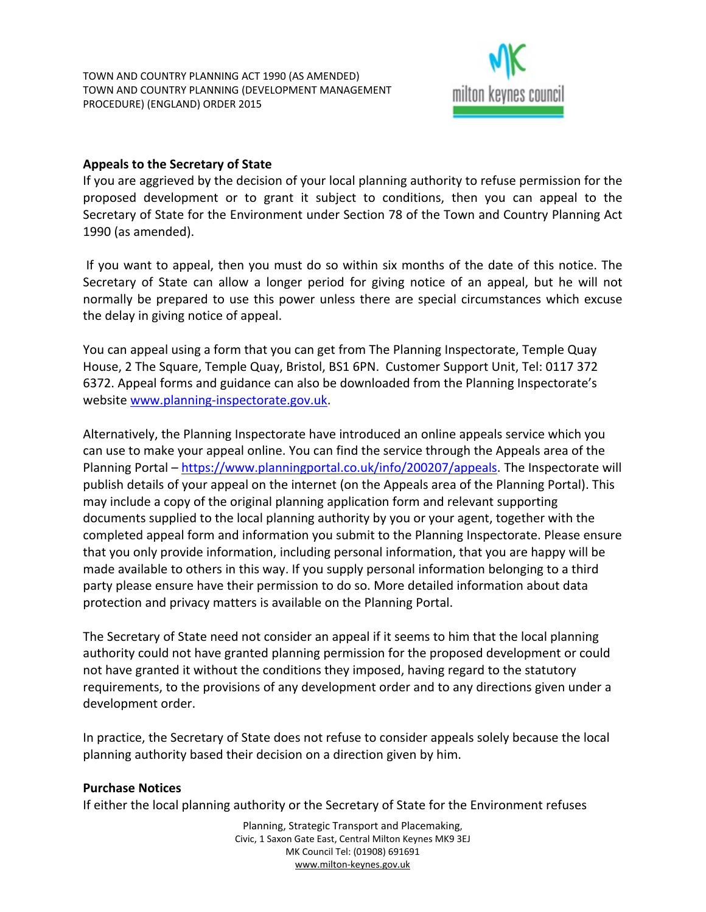

# **Appeals to the Secretary of State**

If you are aggrieved by the decision of your local planning authority to refuse permission for the proposed development or to grant it subject to conditions, then you can appeal to the Secretary of State for the Environment under Section 78 of the Town and Country Planning Act 1990 (as amended).

If you want to appeal, then you must do so within six months of the date of this notice. The Secretary of State can allow a longer period for giving notice of an appeal, but he will not normally be prepared to use this power unless there are special circumstances which excuse the delay in giving notice of appeal.

You can appeal using a form that you can get from The Planning Inspectorate, Temple Quay House, 2 The Square, Temple Quay, Bristol, BS1 6PN. Customer Support Unit, Tel: 0117 372 6372. Appeal forms and guidance can also be downloaded from the Planning Inspectorate's website [www.planning-inspectorate.gov.uk.](http://www.planning-inspectorate.gov.uk/)

Alternatively, the Planning Inspectorate have introduced an online appeals service which you can use to make your appeal online. You can find the service through the Appeals area of the Planning Portal – [https://www.planningportal.co.uk/info/200207/appeals.](https://www.planningportal.co.uk/info/200207/appeals) The Inspectorate will publish details of your appeal on the internet (on the Appeals area of the Planning Portal). This may include a copy of the original planning application form and relevant supporting documents supplied to the local planning authority by you or your agent, together with the completed appeal form and information you submit to the Planning Inspectorate. Please ensure that you only provide information, including personal information, that you are happy will be made available to others in this way. If you supply personal information belonging to a third party please ensure have their permission to do so. More detailed information about data protection and privacy matters is available on the Planning Portal.

The Secretary of State need not consider an appeal if it seems to him that the local planning authority could not have granted planning permission for the proposed development or could not have granted it without the conditions they imposed, having regard to the statutory requirements, to the provisions of any development order and to any directions given under a development order.

In practice, the Secretary of State does not refuse to consider appeals solely because the local planning authority based their decision on a direction given by him.

# **Purchase Notices**

If either the local planning authority or the Secretary of State for the Environment refuses

Planning, Strategic Transport and Placemaking, Civic, 1 Saxon Gate East, Central Milton Keynes MK9 3EJ MK Council Tel: (01908) 691691 [www.milton-keynes.gov.uk](http://www.milton-keynes.gov.uk/)